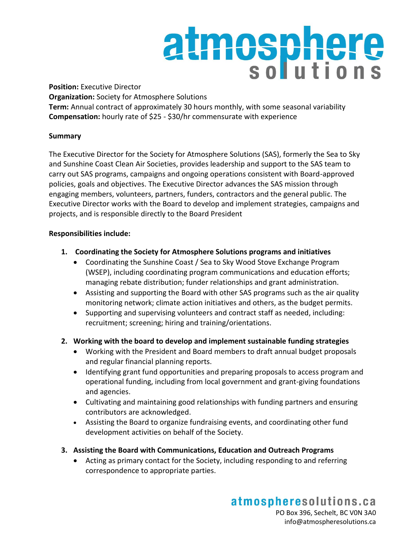# atmosphere

**Position:** Executive Director **Organization:** Society for Atmosphere Solutions **Term:** Annual contract of approximately 30 hours monthly, with some seasonal variability **Compensation:** hourly rate of \$25 - \$30/hr commensurate with experience

# **Summary**

The Executive Director for the Society for Atmosphere Solutions (SAS), formerly the Sea to Sky and Sunshine Coast Clean Air Societies, provides leadership and support to the SAS team to carry out SAS programs, campaigns and ongoing operations consistent with Board-approved policies, goals and objectives. The Executive Director advances the SAS mission through engaging members, volunteers, partners, funders, contractors and the general public. The Executive Director works with the Board to develop and implement strategies, campaigns and projects, and is responsible directly to the Board President

# **Responsibilities include:**

- **1. Coordinating the Society for Atmosphere Solutions programs and initiatives**
	- Coordinating the Sunshine Coast / Sea to Sky Wood Stove Exchange Program (WSEP), including coordinating program communications and education efforts; managing rebate distribution; funder relationships and grant administration.
	- Assisting and supporting the Board with other SAS programs such as the air quality monitoring network; climate action initiatives and others, as the budget permits.
	- Supporting and supervising volunteers and contract staff as needed, including: recruitment; screening; hiring and training/orientations.
- **2. Working with the board to develop and implement sustainable funding strategies**
	- Working with the President and Board members to draft annual budget proposals and regular financial planning reports.
	- Identifying grant fund opportunities and preparing proposals to access program and operational funding, including from local government and grant-giving foundations and agencies.
	- Cultivating and maintaining good relationships with funding partners and ensuring contributors are acknowledged.
	- Assisting the Board to organize fundraising events, and coordinating other fund development activities on behalf of the Society.
- **3. Assisting the Board with Communications, Education and Outreach Programs**
	- Acting as primary contact for the Society, including responding to and referring correspondence to appropriate parties.

atmospheresolutions.ca PO Box 396, Sechelt, BC V0N 3A0 info@atmospheresolutions.ca